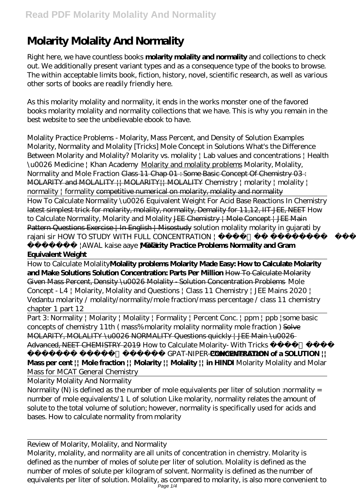## **Molarity Molality And Normality**

Right here, we have countless books **molarity molality and normality** and collections to check out. We additionally present variant types and as a consequence type of the books to browse. The within acceptable limits book, fiction, history, novel, scientific research, as well as various other sorts of books are readily friendly here.

As this molarity molality and normality, it ends in the works monster one of the favored books molarity molality and normality collections that we have. This is why you remain in the best website to see the unbelievable ebook to have.

*Molality Practice Problems - Molarity, Mass Percent, and Density of Solution Examples Molarity, Normality and Molality [Tricks] Mole Concept in Solutions* What's the Difference Between Molarity and Molality? *Molarity vs. molality | Lab values and concentrations | Health \u0026 Medicine | Khan Academy* Molarity and molality problems Molarity, Molality, Normality and Mole Fraction Class 11 Chap 01 : Some Basic Concept Of Chemistry 03 : MOLARITY and MOLALITY || MOLARITY|| MOLALITY *Chemistry | molarity | molality | normality | formality* competitive numerical on molarity, molality and normality

How To Calculate Normality \u0026 Equivalent Weight For Acid Base Reactions In Chemistry latest simplest trick for molarity, molality, normality, Demality for 11,12, IIT-JEE, NEET *How to Calculate Normality, Molarity and Molality* JEE Chemistry | Mole Concept | JEE Main Pattern Questions Exercise | In English | Misostudy *solution molality molarity in gujarati by rajani sir HOW TO STUDY WITH FULL CONCENTRATION |* 

*पढ़े |AWAL kaise aaye | GIGL* **Molarity Practice Problems Normality and Gram Equivalent Weight**

How to Calculate Molality**Molality problems Molarity Made Easy: How to Calculate Molarity and Make Solutions Solution Concentration: Parts Per Million** How To Calculate Molarity Given Mass Percent, Density \u0026 Molality - Solution Concentration Problems Mole Concept - L4 | Molarity, Molality and Questions | Class 11 Chemistry | JEE Mains 2020 | Vedantu molarity / molality/normality/mole fraction/mass percentage / class 11 chemistry chapter 1 part 12

Part 3: Normality | Molarity | Molality | Formality | Percent Conc. | ppm | ppb |*some basic concepts of chemistry 11th ( mass% molarity molality normality mole fraction )* Solve MOLARITY, MOLALITY \u0026 NORMALITY Questions quickly | JEE Main \u0026 Advanced, NEET CHEMISTRY 2019 *How to Calculate Molarity- With Tricks* 

*आसान ट्रिक्स GPAT-NIPER-Pharmacist Exam* **CONCENTRATION of a SOLUTION || Mass per cent || Mole fraction || Molarity || Molality || in HINDI** *Molarity Molality and Molar Mass for MCAT General Chemistry*

Molarity Molality And Normality

Normality (N) is defined as the number of mole equivalents per liter of solution :normality = number of mole equivalents/1 L of solution Like molarity, normality relates the amount of solute to the total volume of solution; however, normality is specifically used for acids and bases. How to calculate normality from molarity

Review of Molarity, Molality, and Normality

Molarity, molality, and normality are all units of concentration in chemistry. Molarity is defined as the number of moles of solute per liter of solution. Molality is defined as the number of moles of solute per kilogram of solvent. Normality is defined as the number of equivalents per liter of solution. Molality, as compared to molarity, is also more convenient to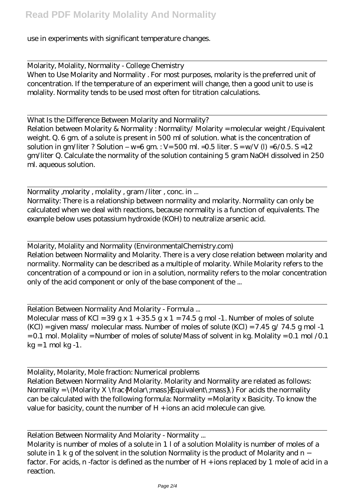use in experiments with significant temperature changes.

Molarity, Molality, Normality - College Chemistry When to Use Molarity and Normality . For most purposes, molarity is the preferred unit of concentration. If the temperature of an experiment will change, then a good unit to use is molality. Normality tends to be used most often for titration calculations.

What Is the Difference Between Molarity and Normality? Relation between Molarity & Normality : Normality/ Molarity = molecular weight /Equivalent weight. Q. 6 gm. of a solute is present in 500 ml of solution. what is the concentration of solution in gm/liter ? Solution – w=6 gm : V= 500 ml. = 0.5 liter.  $S = w/V$  (l) = 6/0.5.  $S = 12$ gm/liter Q. Calculate the normality of the solution containing 5 gram NaOH dissolved in 250 ml. aqueous solution.

Normality , molarity, molality, gram /liter, conc. in ... Normality: There is a relationship between normality and molarity. Normality can only be calculated when we deal with reactions, because normality is a function of equivalents. The example below uses potassium hydroxide (KOH) to neutralize arsenic acid.

Molarity, Molality and Normality (EnvironmentalChemistry.com) Relation between Normality and Molarity. There is a very close relation between molarity and normality. Normality can be described as a multiple of molarity. While Molarity refers to the concentration of a compound or ion in a solution, normality refers to the molar concentration only of the acid component or only of the base component of the ...

Relation Between Normality And Molarity - Formula ... Molecular mass of KCl =  $39 g x 1 + 35.5 g x 1 = 74.5 g$  mol -1. Number of moles of solute  $(KCl)$  = given mass/ molecular mass. Number of moles of solute  $(KCl)$  = 7.45 g/ 74.5 g mol -1 = 0.1 mol. Molality = Number of moles of solute/Mass of solvent in kg. Molality = 0.1 mol /0.1  $kg = 1$  mol kg -1.

Molality, Molarity, Mole fraction: Numerical problems Relation Between Normality And Molarity. Molarity and Normality are related as follows: Normality =  $\Mod$ arity X \frac{Molar\;mass}{Equivalent\;mass}\) For acids the normality can be calculated with the following formula: Normality = Molarity x Basicity. To know the value for basicity, count the number of  $H + i$  ions an acid molecule can give.

Relation Between Normality And Molarity - Normality ...

Molarity is number of moles of a solute in 1 l of a solution Molality is number of moles of a solute in 1 k g of the solvent in the solution Normality is the product of Molarity and n − factor. For acids, n -factor is defined as the number of H + ions replaced by 1 mole of acid in a reaction.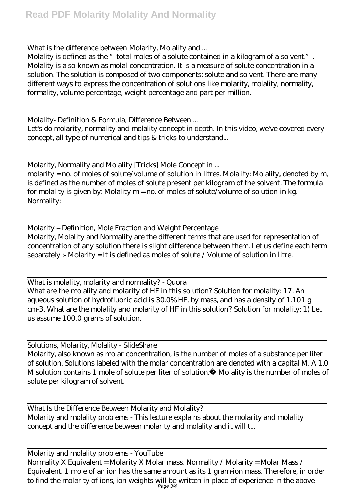What is the difference between Molarity, Molality and ...

Molality is defined as the "total moles of a solute contained in a kilogram of a solvent.". Molality is also known as molal concentration. It is a measure of solute concentration in a solution. The solution is composed of two components; solute and solvent. There are many different ways to express the concentration of solutions like molarity, molality, normality, formality, volume percentage, weight percentage and part per million.

Molality- Definition & Formula, Difference Between ...

Let's do molarity, normality and molality concept in depth. In this video, we've covered every concept, all type of numerical and tips & tricks to understand...

Molarity, Normality and Molality [Tricks] Mole Concept in ... molarity = no. of moles of solute/volume of solution in litres. Molality: Molality, denoted by m, is defined as the number of moles of solute present per kilogram of the solvent. The formula for molality is given by: Molality m = no. of moles of solute/volume of solution in kg. Normality:

Molarity – Definition, Mole Fraction and Weight Percentage Molarity, Molality and Normality are the different terms that are used for representation of concentration of any solution there is slight difference between them. Let us define each term separately :- Molarity = It is defined as moles of solute / Volume of solution in litre.

What is molality, molarity and normality? - Quora What are the molality and molarity of HF in this solution? Solution for molality: 17. An aqueous solution of hydrofluoric acid is 30.0% HF, by mass, and has a density of 1.101 g cm-3. What are the molality and molarity of HF in this solution? Solution for molality: 1) Let us assume 100.0 grams of solution.

Solutions, Molarity, Molality - SlideShare Molarity, also known as molar concentration, is the number of moles of a substance per liter of solution. Solutions labeled with the molar concentration are denoted with a capital M. A 1.0 M solution contains 1 mole of solute per liter of solution. Molality is the number of moles of solute per kilogram of solvent.

What Is the Difference Between Molarity and Molality? Molarity and molality problems - This lecture explains about the molarity and molality concept and the difference between molarity and molality and it will t...

Molarity and molality problems - YouTube Normality X Equivalent = Molarity X Molar mass. Normality / Molarity = Molar Mass / Equivalent. 1 mole of an ion has the same amount as its 1 gram-ion mass. Therefore, in order to find the molarity of ions, ion weights will be written in place of experience in the above Page 3/4